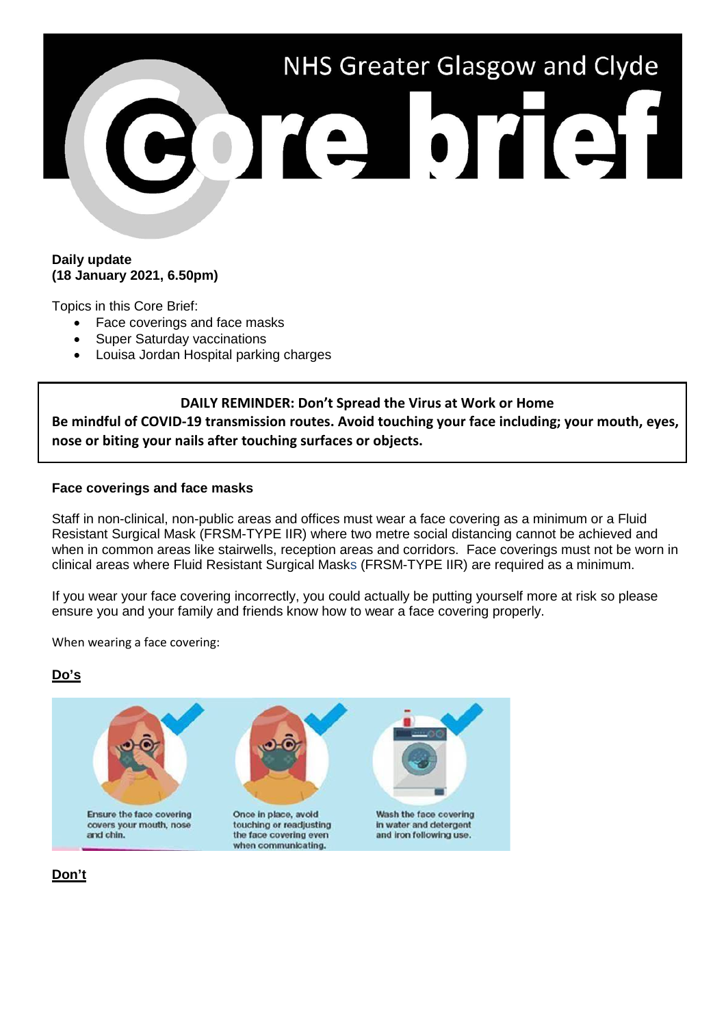

### **Daily update (18 January 2021, 6.50pm)**

Topics in this Core Brief:

- Face coverings and face masks
- Super Saturday vaccinations
- Louisa Jordan Hospital parking charges

### **DAILY REMINDER: Don't Spread the Virus at Work or Home**

**Be mindful of COVID-19 transmission routes. Avoid touching your face including; your mouth, eyes, nose or biting your nails after touching surfaces or objects.** 

#### **Face coverings and face masks**

Staff in non-clinical, non-public areas and offices must wear a face covering as a minimum or a Fluid Resistant Surgical Mask (FRSM-TYPE IIR) where two metre social distancing cannot be achieved and when in common areas like stairwells, reception areas and corridors. Face coverings must not be worn in clinical areas where Fluid Resistant Surgical Masks (FRSM-TYPE IIR) are required as a minimum.

If you wear your face covering incorrectly, you could actually be putting yourself more at risk so please ensure you and your family and friends know how to wear a face covering properly.

When wearing a face covering:

## **Do's**



# **Don't**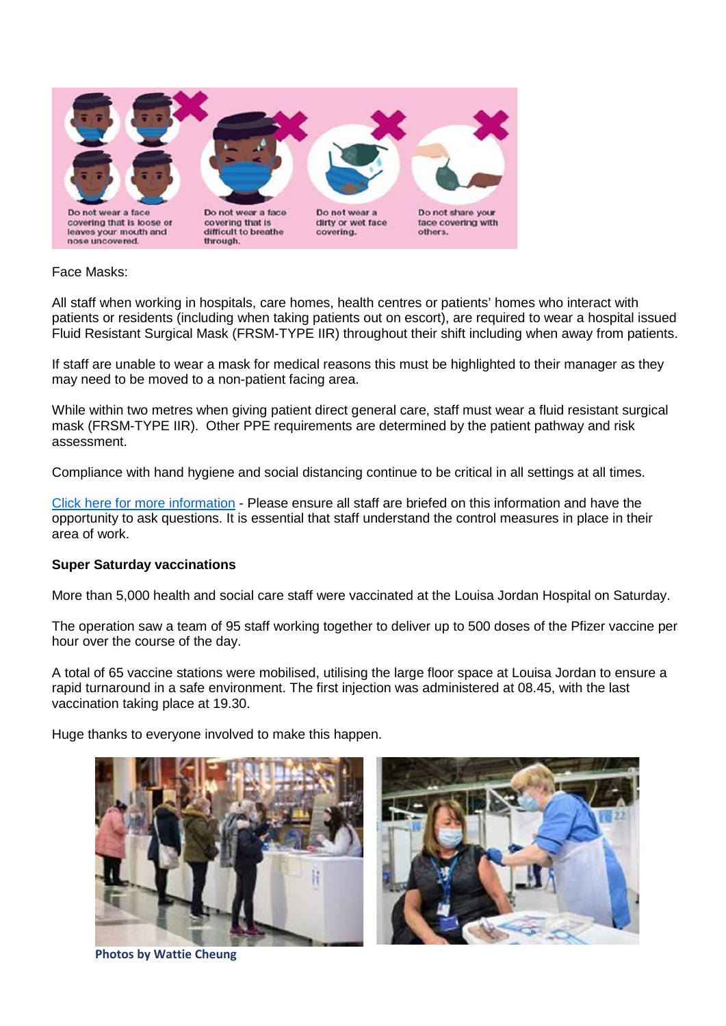

Face Masks:

All staff when working in hospitals, care homes, health centres or patients' homes who interact with patients or residents (including when taking patients out on escort), are required to wear a hospital issued Fluid Resistant Surgical Mask (FRSM-TYPE IIR) throughout their shift including when away from patients.

If staff are unable to wear a mask for medical reasons this must be highlighted to their manager as they may need to be moved to a non-patient facing area.

While within two metres when giving patient direct general care, staff must wear a fluid resistant surgical mask (FRSM-TYPE IIR). Other PPE requirements are determined by the patient pathway and risk assessment.

Compliance with hand hygiene and social distancing continue to be critical in all settings at all times.

[Click here for more information](https://www.nhsggc.org.uk/media/264667/covid19_staff_face_masks_coverings.pdf) - Please ensure all staff are briefed on this information and have the opportunity to ask questions. It is essential that staff understand the control measures in place in their area of work.

#### **Super Saturday vaccinations**

More than 5,000 health and social care staff were vaccinated at the Louisa Jordan Hospital on Saturday.

The operation saw a team of 95 staff working together to deliver up to 500 doses of the Pfizer vaccine per hour over the course of the day.

A total of 65 vaccine stations were mobilised, utilising the large floor space at Louisa Jordan to ensure a rapid turnaround in a safe environment. The first injection was administered at 08.45, with the last vaccination taking place at 19.30.

Huge thanks to everyone involved to make this happen.





**Photos by Wattie Cheung**